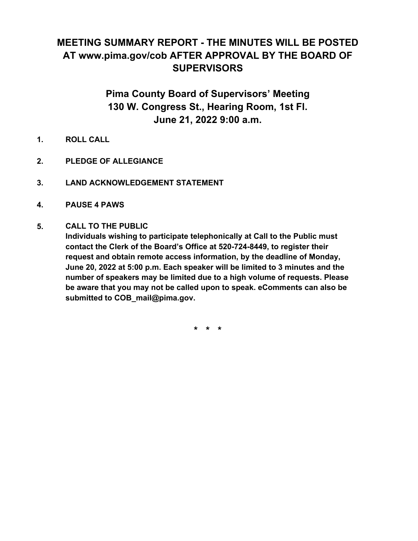# **MEETING SUMMARY REPORT - THE MINUTES WILL BE POSTED AT www.pima.gov/cob AFTER APPROVAL BY THE BOARD OF SUPERVISORS**

## **Pima County Board of Supervisors' Meeting 130 W. Congress St., Hearing Room, 1st Fl. June 21, 2022 9:00 a.m.**

- **1. ROLL CALL**
- **2. PLEDGE OF ALLEGIANCE**
- **3. LAND ACKNOWLEDGEMENT STATEMENT**
- **4. PAUSE 4 PAWS**

#### **CALL TO THE PUBLIC 5.**

**Individuals wishing to participate telephonically at Call to the Public must contact the Clerk of the Board's Office at 520-724-8449, to register their request and obtain remote access information, by the deadline of Monday, June 20, 2022 at 5:00 p.m. Each speaker will be limited to 3 minutes and the number of speakers may be limited due to a high volume of requests. Please be aware that you may not be called upon to speak. eComments can also be submitted to COB\_mail@pima.gov.**

**\* \* \***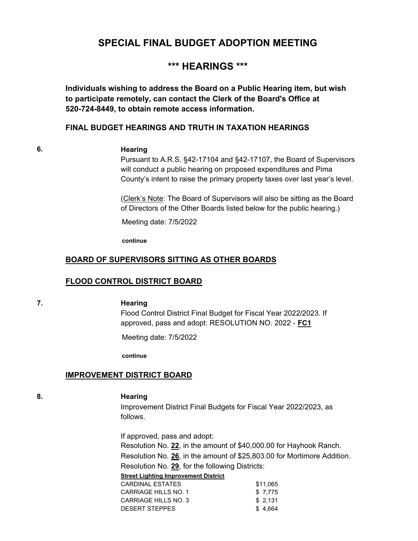## **SPECIAL FINAL BUDGET ADOPTION MEETING**

## **\*\*\* HEARINGS \*\*\***

**Individuals wishing to address the Board on a Public Hearing item, but wish to participate remotely, can contact the Clerk of the Board's Office at 520-724-8449, to obtain remote access information.**

#### **FINAL BUDGET HEARINGS AND TRUTH IN TAXATION HEARINGS**

#### **6. Hearing**

Pursuant to A.R.S. §42-17104 and §42-17107, the Board of Supervisors will conduct a public hearing on proposed expenditures and Pima County's intent to raise the primary property taxes over last year's level.

(Clerk's Note: The Board of Supervisors will also be sitting as the Board of Directors of the Other Boards listed below for the public hearing.)

Meeting date: 7/5/2022

**continue**

#### **BOARD OF SUPERVISORS SITTING AS OTHER BOARDS**

#### **FLOOD CONTROL DISTRICT BOARD**

#### **7. Hearing**

Flood Control District Final Budget for Fiscal Year 2022/2023. If approved, pass and adopt: RESOLUTION NO. 2022 - **FC1**

Meeting date: 7/5/2022

**continue**

#### **IMPROVEMENT DISTRICT BOARD**

#### **8. Hearing**

Improvement District Final Budgets for Fiscal Year 2022/2023, as follows.

If approved, pass and adopt: Resolution No. **22**, in the amount of \$40,000.00 for Hayhook Ranch. Resolution No. **26**, in the amount of \$25,803.00 for Mortimore Addition. Resolution No. **29**, for the following Districts:

#### **Street Lighting Improvement District**

| CARDINAL FSTATFS     | \$11.065 |
|----------------------|----------|
| CARRIAGE HILLS NO. 1 | \$7.775  |
| CARRIAGE HILLS NO. 3 | \$2.131  |
| DESERT STEPPES       | \$4.664  |
|                      |          |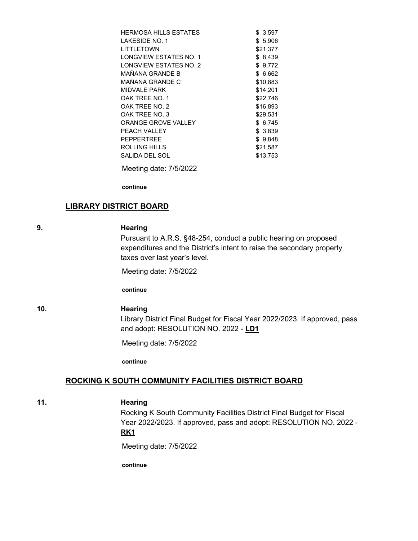| <b>HERMOSA HILLS ESTATES</b> | \$3,597  |
|------------------------------|----------|
| LAKESIDE NO. 1               | \$5.906  |
| LITTLETOWN                   | \$21.377 |
| LONGVIEW ESTATES NO. 1       | \$8,439  |
| LONGVIEW ESTATES NO. 2       | \$9,772  |
| MAÑANA GRANDE B              | \$6,662  |
| MAÑANA GRANDE C              | \$10,883 |
| <b>MIDVAI F PARK</b>         | \$14,201 |
| OAK TREE NO. 1               | \$22,746 |
| OAK TREE NO. 2               | \$16,893 |
| OAK TREE NO. 3               | \$29,531 |
| ORANGE GROVE VALLEY          | \$6,745  |
| PEACH VALLEY                 | \$3,839  |
| PFPPFRTRFF                   | \$9,848  |
| ROLLING HILLS                | \$21.587 |
| SALIDA DEL SOL               | \$13.753 |
|                              |          |

Meeting date: 7/5/2022

**continue**

#### **LIBRARY DISTRICT BOARD**

#### **9. Hearing**

Pursuant to A.R.S. §48-254, conduct a public hearing on proposed expenditures and the District's intent to raise the secondary property taxes over last year's level.

Meeting date: 7/5/2022

**continue**

#### **10. Hearing**

Library District Final Budget for Fiscal Year 2022/2023. If approved, pass and adopt: RESOLUTION NO. 2022 - **LD1**

Meeting date: 7/5/2022

**continue**

#### **ROCKING K SOUTH COMMUNITY FACILITIES DISTRICT BOARD**

#### **11. Hearing**

Rocking K South Community Facilities District Final Budget for Fiscal Year 2022/2023. If approved, pass and adopt: RESOLUTION NO. 2022 - **RK1**

Meeting date: 7/5/2022

**continue**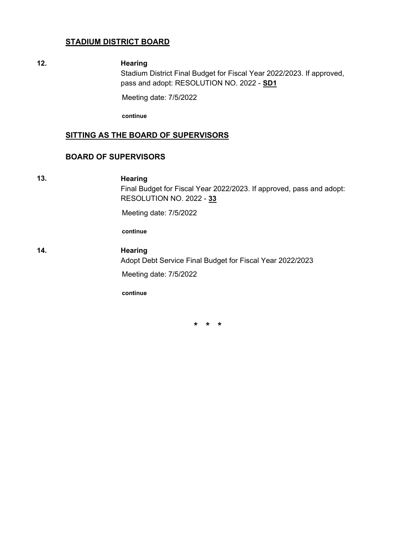#### **STADIUM DISTRICT BOARD**

#### **12. Hearing**

Stadium District Final Budget for Fiscal Year 2022/2023. If approved, pass and adopt: RESOLUTION NO. 2022 - **SD1**

Meeting date: 7/5/2022

**continue**

#### **SITTING AS THE BOARD OF SUPERVISORS**

#### **BOARD OF SUPERVISORS**

**13. Hearing**

Final Budget for Fiscal Year 2022/2023. If approved, pass and adopt: RESOLUTION NO. 2022 - **33**

Meeting date: 7/5/2022

**continue**

#### **14. Hearing**

Adopt Debt Service Final Budget for Fiscal Year 2022/2023

Meeting date: 7/5/2022

**continue**

**\* \* \***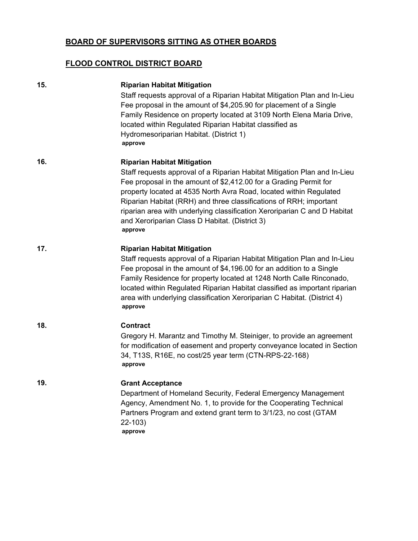### **BOARD OF SUPERVISORS SITTING AS OTHER BOARDS**

### **FLOOD CONTROL DISTRICT BOARD**

| 15. | <b>Riparian Habitat Mitigation</b><br>Staff requests approval of a Riparian Habitat Mitigation Plan and In-Lieu<br>Fee proposal in the amount of \$4,205.90 for placement of a Single<br>Family Residence on property located at 3109 North Elena Maria Drive,<br>located within Regulated Riparian Habitat classified as<br>Hydromesoriparian Habitat. (District 1)<br>approve                                                                                            |
|-----|----------------------------------------------------------------------------------------------------------------------------------------------------------------------------------------------------------------------------------------------------------------------------------------------------------------------------------------------------------------------------------------------------------------------------------------------------------------------------|
| 16. | <b>Riparian Habitat Mitigation</b><br>Staff requests approval of a Riparian Habitat Mitigation Plan and In-Lieu<br>Fee proposal in the amount of \$2,412.00 for a Grading Permit for<br>property located at 4535 North Avra Road, located within Regulated<br>Riparian Habitat (RRH) and three classifications of RRH; important<br>riparian area with underlying classification Xeroriparian C and D Habitat<br>and Xeroriparian Class D Habitat. (District 3)<br>approve |
| 17. | <b>Riparian Habitat Mitigation</b><br>Staff requests approval of a Riparian Habitat Mitigation Plan and In-Lieu<br>Fee proposal in the amount of \$4,196.00 for an addition to a Single<br>Family Residence for property located at 1248 North Calle Rinconado,<br>located within Regulated Riparian Habitat classified as important riparian<br>area with underlying classification Xeroriparian C Habitat. (District 4)<br>approve                                       |
| 18. | <b>Contract</b><br>Gregory H. Marantz and Timothy M. Steiniger, to provide an agreement<br>for modification of easement and property conveyance located in Section<br>34, T13S, R16E, no cost/25 year term (CTN-RPS-22-168)<br>approve                                                                                                                                                                                                                                     |
| 19. | <b>Grant Acceptance</b><br>Department of Homeland Security, Federal Emergency Management<br>Agency, Amendment No. 1, to provide for the Cooperating Technical<br>Partners Program and extend grant term to 3/1/23, no cost (GTAM<br>$22 - 103$<br>approve                                                                                                                                                                                                                  |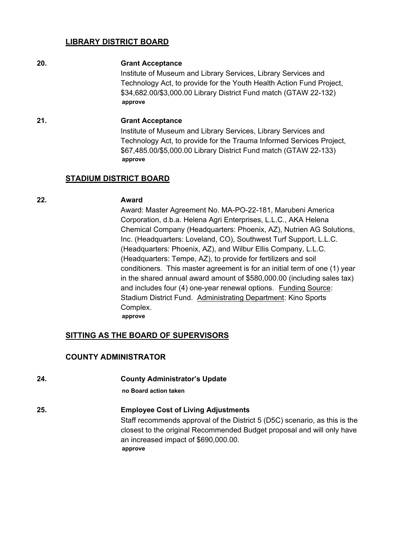#### **LIBRARY DISTRICT BOARD**

#### **20. Grant Acceptance**

Institute of Museum and Library Services, Library Services and Technology Act, to provide for the Youth Health Action Fund Project, \$34,682.00/\$3,000.00 Library District Fund match (GTAW 22-132) **approve**

#### **21. Grant Acceptance**

Institute of Museum and Library Services, Library Services and Technology Act, to provide for the Trauma Informed Services Project, \$67,485.00/\$5,000.00 Library District Fund match (GTAW 22-133) **approve**

#### **STADIUM DISTRICT BOARD**

#### **22. Award**

Award: Master Agreement No. MA-PO-22-181, Marubeni America Corporation, d.b.a. Helena Agri Enterprises, L.L.C., AKA Helena Chemical Company (Headquarters: Phoenix, AZ), Nutrien AG Solutions, Inc. (Headquarters: Loveland, CO), Southwest Turf Support, L.L.C. (Headquarters: Phoenix, AZ), and Wilbur Ellis Company, L.L.C. (Headquarters: Tempe, AZ), to provide for fertilizers and soil conditioners. This master agreement is for an initial term of one (1) year in the shared annual award amount of \$580,000.00 (including sales tax) and includes four (4) one-year renewal options. Funding Source: Stadium District Fund. Administrating Department: Kino Sports Complex. **approve**

#### **SITTING AS THE BOARD OF SUPERVISORS**

#### **COUNTY ADMINISTRATOR**

**24. County Administrator's Update no Board action taken 25. Employee Cost of Living Adjustments** Staff recommends approval of the District 5 (D5C) scenario, as this is the closest to the original Recommended Budget proposal and will only have an increased impact of \$690,000.00. **approve**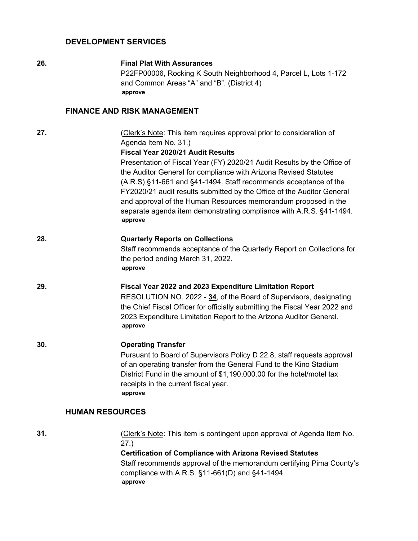#### **DEVELOPMENT SERVICES**

#### **26. Final Plat With Assurances**

P22FP00006, Rocking K South Neighborhood 4, Parcel L, Lots 1-172 and Common Areas "A" and "B". (District 4) **approve**

#### **FINANCE AND RISK MANAGEMENT**

**27.** (Clerk's Note: This item requires approval prior to consideration of Agenda Item No. 31.)

#### **Fiscal Year 2020/21 Audit Results**

Presentation of Fiscal Year (FY) 2020/21 Audit Results by the Office of the Auditor General for compliance with Arizona Revised Statutes (A.R.S) §11-661 and §41-1494. Staff recommends acceptance of the FY2020/21 audit results submitted by the Office of the Auditor General and approval of the Human Resources memorandum proposed in the separate agenda item demonstrating compliance with A.R.S. §41-1494. **approve**

#### **28. Quarterly Reports on Collections**

Staff recommends acceptance of the Quarterly Report on Collections for the period ending March 31, 2022. **approve**

#### **29. Fiscal Year 2022 and 2023 Expenditure Limitation Report**

RESOLUTION NO. 2022 - **34**, of the Board of Supervisors, designating the Chief Fiscal Officer for officially submitting the Fiscal Year 2022 and 2023 Expenditure Limitation Report to the Arizona Auditor General. **approve**

#### **30. Operating Transfer**

Pursuant to Board of Supervisors Policy D 22.8, staff requests approval of an operating transfer from the General Fund to the Kino Stadium District Fund in the amount of \$1,190,000.00 for the hotel/motel tax receipts in the current fiscal year. **approve**

#### **HUMAN RESOURCES**

**31.** (Clerk's Note: This item is contingent upon approval of Agenda Item No. 27.) **Certification of Compliance with Arizona Revised Statutes**

> Staff recommends approval of the memorandum certifying Pima County's compliance with A.R.S. §11-661(D) and §41-1494. **approve**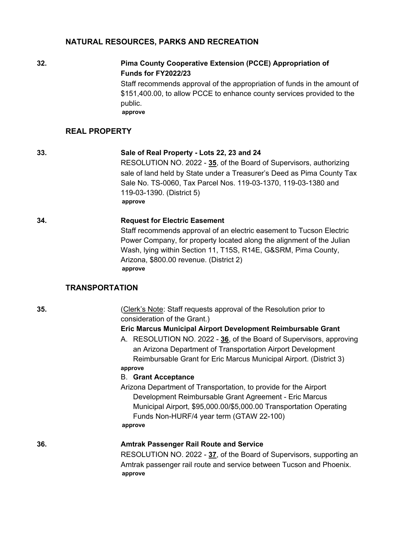#### **NATURAL RESOURCES, PARKS AND RECREATION**

### **32. Pima County Cooperative Extension (PCCE) Appropriation of Funds for FY2022/23**

Staff recommends approval of the appropriation of funds in the amount of \$151,400.00, to allow PCCE to enhance county services provided to the public. **approve**

#### **REAL PROPERTY**

#### **33. Sale of Real Property - Lots 22, 23 and 24**

RESOLUTION NO. 2022 - **35**, of the Board of Supervisors, authorizing sale of land held by State under a Treasurer's Deed as Pima County Tax Sale No. TS-0060, Tax Parcel Nos. 119-03-1370, 119-03-1380 and 119-03-1390. (District 5) **approve**

**34. Request for Electric Easement**

Staff recommends approval of an electric easement to Tucson Electric Power Company, for property located along the alignment of the Julian Wash, lying within Section 11, T15S, R14E, G&SRM, Pima County, Arizona, \$800.00 revenue. (District 2) **approve**

#### **TRANSPORTATION**

**35.** (Clerk's Note: Staff requests approval of the Resolution prior to consideration of the Grant.)

#### **Eric Marcus Municipal Airport Development Reimbursable Grant**

A. RESOLUTION NO. 2022 - **36**, of the Board of Supervisors, approving an Arizona Department of Transportation Airport Development Reimbursable Grant for Eric Marcus Municipal Airport. (District 3) **approve**

#### B. **Grant Acceptance**

Arizona Department of Transportation, to provide for the Airport Development Reimbursable Grant Agreement - Eric Marcus Municipal Airport, \$95,000.00/\$5,000.00 Transportation Operating Funds Non-HURF/4 year term (GTAW 22-100) **approve**

#### **36. Amtrak Passenger Rail Route and Service**

RESOLUTION NO. 2022 - **37**, of the Board of Supervisors, supporting an Amtrak passenger rail route and service between Tucson and Phoenix. **approve**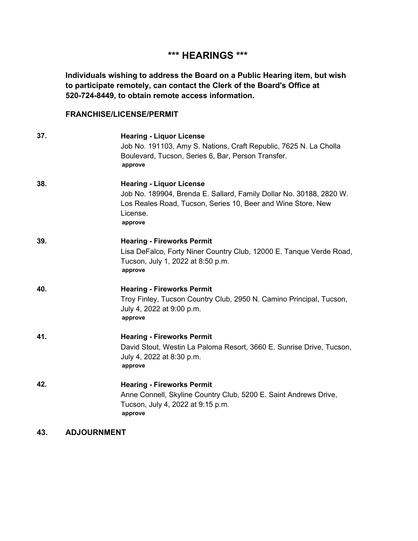## **\*\*\* HEARINGS \*\*\***

**Individuals wishing to address the Board on a Public Hearing item, but wish to participate remotely, can contact the Clerk of the Board's Office at 520-724-8449, to obtain remote access information.**

#### **FRANCHISE/LICENSE/PERMIT**

| 37. | <b>Hearing - Liquor License</b><br>Job No. 191103, Amy S. Nations, Craft Republic, 7625 N. La Cholla<br>Boulevard, Tucson, Series 6, Bar, Person Transfer.<br>approve                         |
|-----|-----------------------------------------------------------------------------------------------------------------------------------------------------------------------------------------------|
| 38. | <b>Hearing - Liquor License</b><br>Job No. 189904, Brenda E. Sallard, Family Dollar No. 30188, 2820 W.<br>Los Reales Road, Tucson, Series 10, Beer and Wine Store, New<br>License.<br>approve |
| 39. | <b>Hearing - Fireworks Permit</b><br>Lisa DeFalco, Forty Niner Country Club, 12000 E. Tanque Verde Road,<br>Tucson, July 1, 2022 at 8:50 p.m.<br>approve                                      |
| 40. | <b>Hearing - Fireworks Permit</b><br>Troy Finley, Tucson Country Club, 2950 N. Camino Principal, Tucson,<br>July 4, 2022 at 9:00 p.m.<br>approve                                              |
| 41. | <b>Hearing - Fireworks Permit</b><br>David Stout, Westin La Paloma Resort, 3660 E. Sunrise Drive, Tucson,<br>July 4, 2022 at 8:30 p.m.<br>approve                                             |
| 42. | <b>Hearing - Fireworks Permit</b><br>Anne Connell, Skyline Country Club, 5200 E. Saint Andrews Drive,<br>Tucson, July 4, 2022 at 9:15 p.m.<br>approve                                         |

**43. ADJOURNMENT**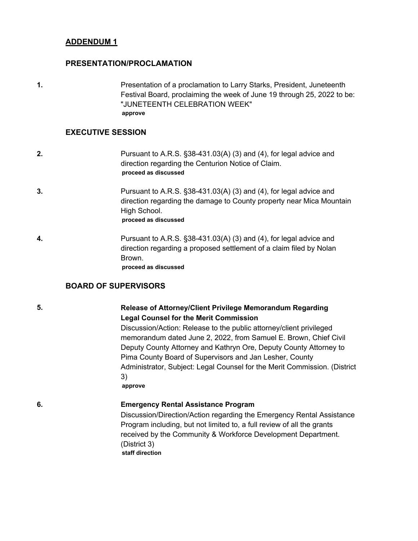#### **ADDENDUM 1**

#### **PRESENTATION/PROCLAMATION**

**1.** Presentation of a proclamation to Larry Starks, President, Juneteenth Festival Board, proclaiming the week of June 19 through 25, 2022 to be: "JUNETEENTH CELEBRATION WEEK" **approve**

#### **EXECUTIVE SESSION**

- **2.** Pursuant to A.R.S. §38-431.03(A) (3) and (4), for legal advice and direction regarding the Centurion Notice of Claim. **proceed as discussed**
- **3.** Pursuant to A.R.S. §38-431.03(A) (3) and (4), for legal advice and direction regarding the damage to County property near Mica Mountain High School. **proceed as discussed**
- **4.** Pursuant to A.R.S. §38-431.03(A) (3) and (4), for legal advice and direction regarding a proposed settlement of a claim filed by Nolan Brown. **proceed as discussed**

#### **BOARD OF SUPERVISORS**

#### **5. Release of Attorney/Client Privilege Memorandum Regarding Legal Counsel for the Merit Commission**

Discussion/Action: Release to the public attorney/client privileged memorandum dated June 2, 2022, from Samuel E. Brown, Chief Civil Deputy County Attorney and Kathryn Ore, Deputy County Attorney to Pima County Board of Supervisors and Jan Lesher, County Administrator, Subject: Legal Counsel for the Merit Commission. (District 3)

**approve**

#### **6. Emergency Rental Assistance Program**

Discussion/Direction/Action regarding the Emergency Rental Assistance Program including, but not limited to, a full review of all the grants received by the Community & Workforce Development Department. (District 3) **staff direction**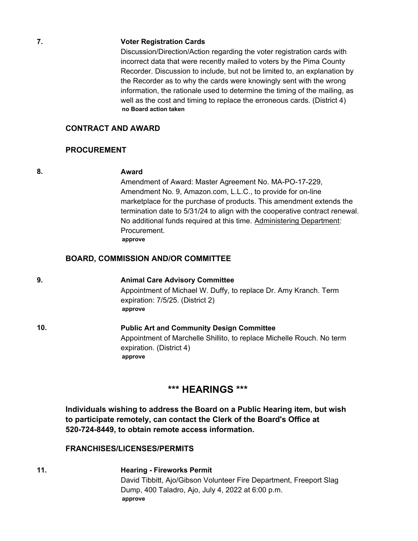#### **7. Voter Registration Cards**

Discussion/Direction/Action regarding the voter registration cards with incorrect data that were recently mailed to voters by the Pima County Recorder. Discussion to include, but not be limited to, an explanation by the Recorder as to why the cards were knowingly sent with the wrong information, the rationale used to determine the timing of the mailing, as well as the cost and timing to replace the erroneous cards. (District 4) **no Board action taken**

#### **CONTRACT AND AWARD**

#### **PROCUREMENT**

#### **8. Award**

Amendment of Award: Master Agreement No. MA-PO-17-229, Amendment No. 9, Amazon.com, L.L.C., to provide for on-line marketplace for the purchase of products. This amendment extends the termination date to 5/31/24 to align with the cooperative contract renewal. No additional funds required at this time. Administering Department: Procurement. **approve**

#### **BOARD, COMMISSION AND/OR COMMITTEE**

**9. Animal Care Advisory Committee** Appointment of Michael W. Duffy, to replace Dr. Amy Kranch. Term expiration: 7/5/25. (District 2) **approve**

**10. Public Art and Community Design Committee** Appointment of Marchelle Shillito, to replace Michelle Rouch. No term expiration. (District 4) **approve**

### **\*\*\* HEARINGS \*\*\***

**Individuals wishing to address the Board on a Public Hearing item, but wish to participate remotely, can contact the Clerk of the Board's Office at 520-724-8449, to obtain remote access information.**

#### **FRANCHISES/LICENSES/PERMITS**

**11. Hearing - Fireworks Permit** David Tibbitt, Ajo/Gibson Volunteer Fire Department, Freeport Slag Dump, 400 Taladro, Ajo, July 4, 2022 at 6:00 p.m. **approve**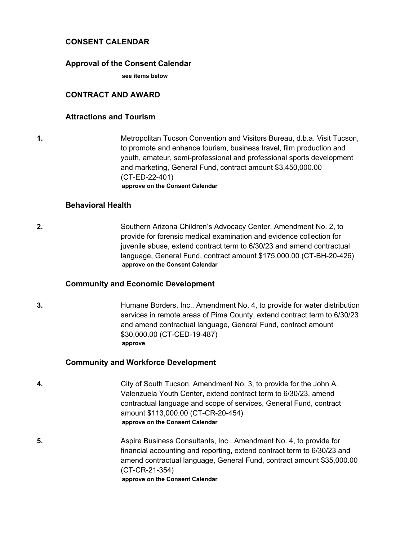#### **CONSENT CALENDAR**

#### **Approval of the Consent Calendar**

**see items below**

#### **CONTRACT AND AWARD**

#### **Attractions and Tourism**

**1.** Metropolitan Tucson Convention and Visitors Bureau, d.b.a. Visit Tucson, to promote and enhance tourism, business travel, film production and youth, amateur, semi-professional and professional sports development and marketing, General Fund, contract amount \$3,450,000.00 (CT-ED-22-401) **approve on the Consent Calendar**

#### **Behavioral Health**

**2.** Southern Arizona Children's Advocacy Center, Amendment No. 2, to provide for forensic medical examination and evidence collection for juvenile abuse, extend contract term to 6/30/23 and amend contractual language, General Fund, contract amount \$175,000.00 (CT-BH-20-426) **approve on the Consent Calendar**

#### **Community and Economic Development**

**3.** Humane Borders, Inc., Amendment No. 4, to provide for water distribution services in remote areas of Pima County, extend contract term to 6/30/23 and amend contractual language, General Fund, contract amount \$30,000.00 (CT-CED-19-487) **approve**

#### **Community and Workforce Development**

- **4.** City of South Tucson, Amendment No. 3, to provide for the John A. Valenzuela Youth Center, extend contract term to 6/30/23, amend contractual language and scope of services, General Fund, contract amount \$113,000.00 (CT-CR-20-454) **approve on the Consent Calendar**
- **5.** Aspire Business Consultants, Inc., Amendment No. 4, to provide for financial accounting and reporting, extend contract term to 6/30/23 and amend contractual language, General Fund, contract amount \$35,000.00 (CT-CR-21-354) **approve on the Consent Calendar**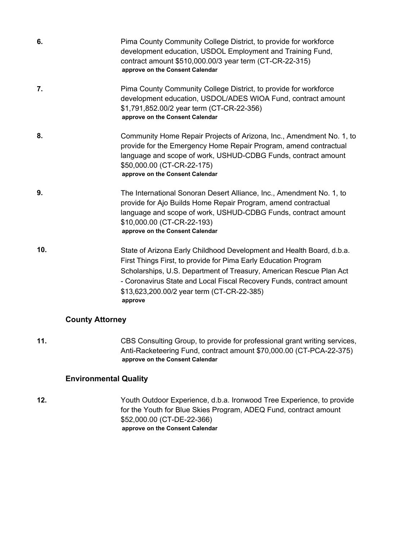| 6.  | Pima County Community College District, to provide for workforce<br>development education, USDOL Employment and Training Fund,<br>contract amount \$510,000.00/3 year term (CT-CR-22-315)<br>approve on the Consent Calendar                                                                                                                     |
|-----|--------------------------------------------------------------------------------------------------------------------------------------------------------------------------------------------------------------------------------------------------------------------------------------------------------------------------------------------------|
| 7.  | Pima County Community College District, to provide for workforce<br>development education, USDOL/ADES WIOA Fund, contract amount<br>\$1,791,852.00/2 year term (CT-CR-22-356)<br>approve on the Consent Calendar                                                                                                                                 |
| 8.  | Community Home Repair Projects of Arizona, Inc., Amendment No. 1, to<br>provide for the Emergency Home Repair Program, amend contractual<br>language and scope of work, USHUD-CDBG Funds, contract amount<br>\$50,000.00 (CT-CR-22-175)<br>approve on the Consent Calendar                                                                       |
| 9.  | The International Sonoran Desert Alliance, Inc., Amendment No. 1, to<br>provide for Ajo Builds Home Repair Program, amend contractual<br>language and scope of work, USHUD-CDBG Funds, contract amount<br>\$10,000.00 (CT-CR-22-193)<br>approve on the Consent Calendar                                                                          |
| 10. | State of Arizona Early Childhood Development and Health Board, d.b.a.<br>First Things First, to provide for Pima Early Education Program<br>Scholarships, U.S. Department of Treasury, American Rescue Plan Act<br>- Coronavirus State and Local Fiscal Recovery Funds, contract amount<br>\$13,623,200.00/2 year term (CT-CR-22-385)<br>approve |

### **County Attorney**

**11.** CBS Consulting Group, to provide for professional grant writing services, Anti-Racketeering Fund, contract amount \$70,000.00 (CT-PCA-22-375) **approve on the Consent Calendar**

### **Environmental Quality**

**12.** Youth Outdoor Experience, d.b.a. Ironwood Tree Experience, to provide for the Youth for Blue Skies Program, ADEQ Fund, contract amount \$52,000.00 (CT-DE-22-366) **approve on the Consent Calendar**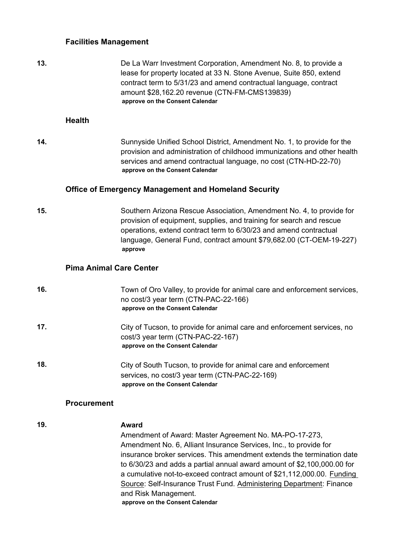#### **Facilities Management**

**13.** De La Warr Investment Corporation, Amendment No. 8, to provide a lease for property located at 33 N. Stone Avenue, Suite 850, extend contract term to 5/31/23 and amend contractual language, contract amount \$28,162.20 revenue (CTN-FM-CMS139839) **approve on the Consent Calendar**

#### **Health**

**14.** Sunnyside Unified School District, Amendment No. 1, to provide for the provision and administration of childhood immunizations and other health services and amend contractual language, no cost (CTN-HD-22-70) **approve on the Consent Calendar**

#### **Office of Emergency Management and Homeland Security**

**15.** Southern Arizona Rescue Association, Amendment No. 4, to provide for provision of equipment, supplies, and training for search and rescue operations, extend contract term to 6/30/23 and amend contractual language, General Fund, contract amount \$79,682.00 (CT-OEM-19-227) **approve**

#### **Pima Animal Care Center**

| 16. | Town of Oro Valley, to provide for animal care and enforcement services,<br>no cost/3 year term (CTN-PAC-22-166)<br>approve on the Consent Calendar   |
|-----|-------------------------------------------------------------------------------------------------------------------------------------------------------|
| 17. | City of Tucson, to provide for animal care and enforcement services, no<br>cost/3 year term (CTN-PAC-22-167)<br>approve on the Consent Calendar       |
| 18. | City of South Tucson, to provide for animal care and enforcement<br>services, no cost/3 year term (CTN-PAC-22-169)<br>approve on the Consent Calendar |

#### **Procurement**

#### **19. Award** Amendment of Award: Master Agreement No. MA-PO-17-273, Amendment No. 6, Alliant Insurance Services, Inc., to provide for insurance broker services. This amendment extends the termination date to 6/30/23 and adds a partial annual award amount of \$2,100,000.00 for a cumulative not-to-exceed contract amount of \$21,112,000.00. Funding Source: Self-Insurance Trust Fund. Administering Department: Finance and Risk Management. **approve on the Consent Calendar**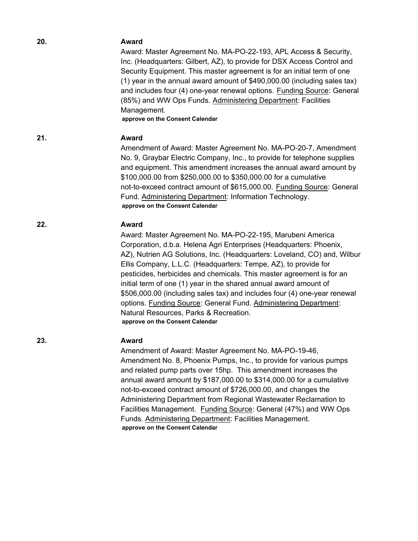| 20. | <b>Award</b><br>Award: Master Agreement No. MA-PO-22-193, APL Access & Security,<br>Inc. (Headquarters: Gilbert, AZ), to provide for DSX Access Control and<br>Security Equipment. This master agreement is for an initial term of one<br>(1) year in the annual award amount of \$490,000.00 (including sales tax)<br>and includes four (4) one-year renewal options. Funding Source: General<br>(85%) and WW Ops Funds. Administering Department: Facilities<br>Management.<br>approve on the Consent Calendar                                                                                                                                                             |
|-----|------------------------------------------------------------------------------------------------------------------------------------------------------------------------------------------------------------------------------------------------------------------------------------------------------------------------------------------------------------------------------------------------------------------------------------------------------------------------------------------------------------------------------------------------------------------------------------------------------------------------------------------------------------------------------|
| 21. | <b>Award</b><br>Amendment of Award: Master Agreement No. MA-PO-20-7, Amendment<br>No. 9, Graybar Electric Company, Inc., to provide for telephone supplies<br>and equipment. This amendment increases the annual award amount by<br>\$100,000.00 from \$250,000.00 to \$350,000.00 for a cumulative<br>not-to-exceed contract amount of \$615,000.00. Funding Source: General<br>Fund. Administering Department: Information Technology.<br>approve on the Consent Calendar                                                                                                                                                                                                  |
| 22. | <b>Award</b><br>Award: Master Agreement No. MA-PO-22-195, Marubeni America<br>Corporation, d.b.a. Helena Agri Enterprises (Headquarters: Phoenix,<br>AZ), Nutrien AG Solutions, Inc. (Headquarters: Loveland, CO) and, Wilbur<br>Ellis Company, L.L.C. (Headquarters: Tempe, AZ), to provide for<br>pesticides, herbicides and chemicals. This master agreement is for an<br>initial term of one (1) year in the shared annual award amount of<br>\$506,000.00 (including sales tax) and includes four (4) one-year renewal<br>options. Funding Source: General Fund. Administering Department:<br>Natural Resources, Parks & Recreation.<br>approve on the Consent Calendar |
| 23  | Award<br>Amendment of Award: Master Agreement No. MA-PO-19-46,<br>Amendment No. 8, Phoenix Pumps, Inc., to provide for various pumps<br>and related pump parts over 15hp. This amendment increases the<br>annual award amount by \$187,000.00 to \$314,000.00 for a cumulative<br>not-to-exceed contract amount of \$726,000.00, and changes the<br>Administering Department from Regional Wastewater Reclamation to<br>Facilities Management. Funding Source: General (47%) and WW Ops<br>Funds. Administering Department: Facilities Management.<br>approve on the Consent Calendar                                                                                        |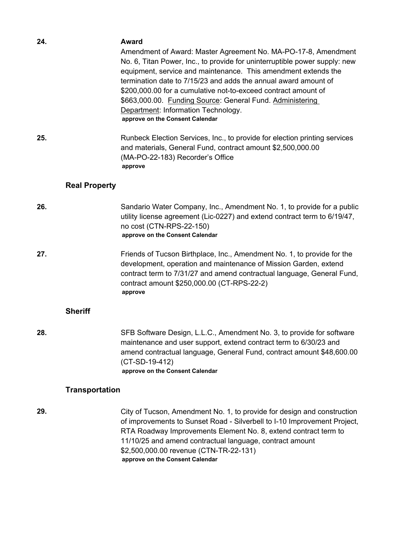| 24.                  | Award<br>Amendment of Award: Master Agreement No. MA-PO-17-8, Amendment<br>No. 6, Titan Power, Inc., to provide for uninterruptible power supply: new<br>equipment, service and maintenance. This amendment extends the<br>termination date to 7/15/23 and adds the annual award amount of<br>\$200,000.00 for a cumulative not-to-exceed contract amount of<br>\$663,000.00. Funding Source: General Fund. Administering<br>Department: Information Technology.<br>approve on the Consent Calendar |
|----------------------|-----------------------------------------------------------------------------------------------------------------------------------------------------------------------------------------------------------------------------------------------------------------------------------------------------------------------------------------------------------------------------------------------------------------------------------------------------------------------------------------------------|
| 25.                  | Runbeck Election Services, Inc., to provide for election printing services<br>and materials, General Fund, contract amount \$2,500,000.00<br>(MA-PO-22-183) Recorder's Office<br>approve                                                                                                                                                                                                                                                                                                            |
| <b>Real Property</b> |                                                                                                                                                                                                                                                                                                                                                                                                                                                                                                     |
| 26.                  | Sandario Water Company, Inc., Amendment No. 1, to provide for a public<br>utility license agreement (Lic-0227) and extend contract term to 6/19/47,                                                                                                                                                                                                                                                                                                                                                 |

**approve on the Consent Calendar 27.** Friends of Tucson Birthplace, Inc., Amendment No. 1, to provide for the development, operation and maintenance of Mission Garden, extend contract term to 7/31/27 and amend contractual language, General Fund, contract amount \$250,000.00 (CT-RPS-22-2)

no cost (CTN-RPS-22-150)

**approve**

#### **Sheriff**

**28.** SFB Software Design, L.L.C., Amendment No. 3, to provide for software maintenance and user support, extend contract term to 6/30/23 and amend contractual language, General Fund, contract amount \$48,600.00 (CT-SD-19-412) **approve on the Consent Calendar**

#### **Transportation**

**29.** City of Tucson, Amendment No. 1, to provide for design and construction of improvements to Sunset Road - Silverbell to I-10 Improvement Project, RTA Roadway Improvements Element No. 8, extend contract term to 11/10/25 and amend contractual language, contract amount \$2,500,000.00 revenue (CTN-TR-22-131) **approve on the Consent Calendar**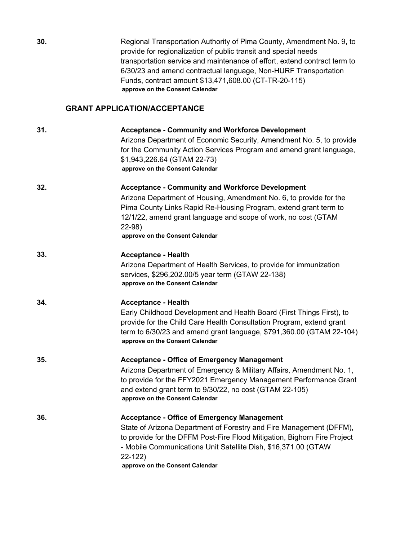| 30. | Regional Transportation Authority of Pima County, Amendment No. 9, to<br>provide for regionalization of public transit and special needs<br>transportation service and maintenance of effort, extend contract term to<br>6/30/23 and amend contractual language, Non-HURF Transportation<br>Funds, contract amount \$13,471,608.00 (CT-TR-20-115)<br>approve on the Consent Calendar |
|-----|--------------------------------------------------------------------------------------------------------------------------------------------------------------------------------------------------------------------------------------------------------------------------------------------------------------------------------------------------------------------------------------|
|     | <b>GRANT APPLICATION/ACCEPTANCE</b>                                                                                                                                                                                                                                                                                                                                                  |
| 31. | <b>Acceptance - Community and Workforce Development</b><br>Arizona Department of Economic Security, Amendment No. 5, to provide<br>for the Community Action Services Program and amend grant language,<br>\$1,943,226.64 (GTAM 22-73)<br>approve on the Consent Calendar                                                                                                             |
| 32. | <b>Acceptance - Community and Workforce Development</b><br>Arizona Department of Housing, Amendment No. 6, to provide for the<br>Pima County Links Rapid Re-Housing Program, extend grant term to<br>12/1/22, amend grant language and scope of work, no cost (GTAM<br>$22-98$<br>approve on the Consent Calendar                                                                    |
| 33. | <b>Acceptance - Health</b><br>Arizona Department of Health Services, to provide for immunization<br>services, \$296,202.00/5 year term (GTAW 22-138)<br>approve on the Consent Calendar                                                                                                                                                                                              |
| 34. | <b>Acceptance - Health</b><br>Early Childhood Development and Health Board (First Things First), to<br>provide for the Child Care Health Consultation Program, extend grant<br>term to 6/30/23 and amend grant language, \$791,360.00 (GTAM 22-104)<br>approve on the Consent Calendar                                                                                               |
| 35. | <b>Acceptance - Office of Emergency Management</b><br>Arizona Department of Emergency & Military Affairs, Amendment No. 1,<br>to provide for the FFY2021 Emergency Management Performance Grant<br>and extend grant term to 9/30/22, no cost (GTAM 22-105)<br>approve on the Consent Calendar                                                                                        |
| 36. | <b>Acceptance - Office of Emergency Management</b><br>State of Arizona Department of Forestry and Fire Management (DFFM),<br>to provide for the DFFM Post-Fire Flood Mitigation, Bighorn Fire Project<br>- Mobile Communications Unit Satellite Dish, \$16,371.00 (GTAW<br>$22-122$<br>approve on the Consent Calendar                                                               |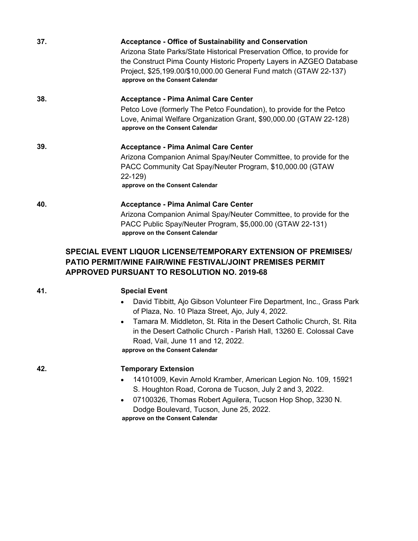| 37. | <b>Acceptance - Office of Sustainability and Conservation</b>                                         |
|-----|-------------------------------------------------------------------------------------------------------|
|     | Arizona State Parks/State Historical Preservation Office, to provide for                              |
|     | the Construct Pima County Historic Property Layers in AZGEO Database                                  |
|     | Project, \$25,199.00/\$10,000.00 General Fund match (GTAW 22-137)<br>approve on the Consent Calendar  |
|     |                                                                                                       |
| 38. | <b>Acceptance - Pima Animal Care Center</b>                                                           |
|     | Petco Love (formerly The Petco Foundation), to provide for the Petco                                  |
|     | Love, Animal Welfare Organization Grant, \$90,000.00 (GTAW 22-128)<br>approve on the Consent Calendar |
| 39. | <b>Acceptance - Pima Animal Care Center</b>                                                           |
|     | Arizona Companion Animal Spay/Neuter Committee, to provide for the                                    |
|     | PACC Community Cat Spay/Neuter Program, \$10,000.00 (GTAW                                             |
|     | 22-129)                                                                                               |
|     | approve on the Consent Calendar                                                                       |
| 40. | <b>Acceptance - Pima Animal Care Center</b>                                                           |
|     | Arizona Companion Animal Spay/Neuter Committee, to provide for the                                    |
|     | PACC Public Spay/Neuter Program, \$5,000.00 (GTAW 22-131)                                             |
|     | approve on the Consent Calendar                                                                       |

### **SPECIAL EVENT LIQUOR LICENSE/TEMPORARY EXTENSION OF PREMISES/ PATIO PERMIT/WINE FAIR/WINE FESTIVAL/JOINT PREMISES PERMIT APPROVED PURSUANT TO RESOLUTION NO. 2019-68**

#### **41. Special Event**

- · David Tibbitt, Ajo Gibson Volunteer Fire Department, Inc., Grass Park of Plaza, No. 10 Plaza Street, Ajo, July 4, 2022.
- · Tamara M. Middleton, St. Rita in the Desert Catholic Church, St. Rita in the Desert Catholic Church - Parish Hall, 13260 E. Colossal Cave Road, Vail, June 11 and 12, 2022.

**approve on the Consent Calendar**

**42. Temporary Extension**

- · 14101009, Kevin Arnold Kramber, American Legion No. 109, 15921 S. Houghton Road, Corona de Tucson, July 2 and 3, 2022.
- · 07100326, Thomas Robert Aguilera, Tucson Hop Shop, 3230 N. Dodge Boulevard, Tucson, June 25, 2022. **approve on the Consent Calendar**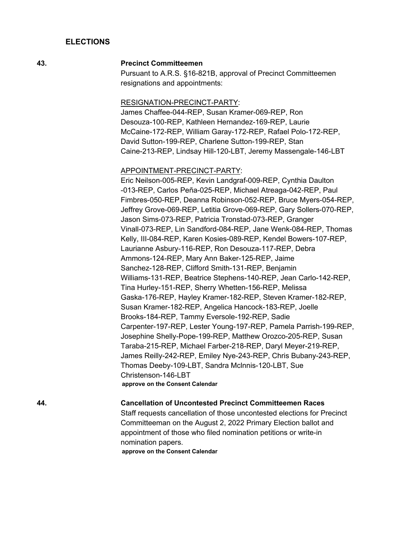#### **ELECTIONS**

#### **43. Precinct Committeemen**

Pursuant to A.R.S. §16-821B, approval of Precinct Committeemen resignations and appointments:

#### RESIGNATION-PRECINCT-PARTY:

James Chaffee-044-REP, Susan Kramer-069-REP, Ron Desouza-100-REP, Kathleen Hernandez-169-REP, Laurie McCaine-172-REP, William Garay-172-REP, Rafael Polo-172-REP, David Sutton-199-REP, Charlene Sutton-199-REP, Stan Caine-213-REP, Lindsay Hill-120-LBT, Jeremy Massengale-146-LBT

#### APPOINTMENT-PRECINCT-PARTY:

Eric Neilson-005-REP, Kevin Landgraf-009-REP, Cynthia Daulton -013-REP, Carlos Peña-025-REP, Michael Atreaga-042-REP, Paul Fimbres-050-REP, Deanna Robinson-052-REP, Bruce Myers-054-REP, Jeffrey Grove-069-REP, Letitia Grove-069-REP, Gary Sollers-070-REP, Jason Sims-073-REP, Patricia Tronstad-073-REP, Granger Vinall-073-REP, Lin Sandford-084-REP, Jane Wenk-084-REP, Thomas Kelly, III-084-REP, Karen Kosies-089-REP, Kendel Bowers-107-REP, Laurianne Asbury-116-REP, Ron Desouza-117-REP, Debra Ammons-124-REP, Mary Ann Baker-125-REP, Jaime Sanchez-128-REP, Clifford Smith-131-REP, Benjamin Williams-131-REP, Beatrice Stephens-140-REP, Jean Carlo-142-REP, Tina Hurley-151-REP, Sherry Whetten-156-REP, Melissa Gaska-176-REP, Hayley Kramer-182-REP, Steven Kramer-182-REP, Susan Kramer-182-REP, Angelica Hancock-183-REP, Joelle Brooks-184-REP, Tammy Eversole-192-REP, Sadie Carpenter-197-REP, Lester Young-197-REP, Pamela Parrish-199-REP, Josephine Shelly-Pope-199-REP, Matthew Orozco-205-REP, Susan Taraba-215-REP, Michael Farber-218-REP, Daryl Meyer-219-REP, James Reilly-242-REP, Emiley Nye-243-REP, Chris Bubany-243-REP, Thomas Deeby-109-LBT, Sandra Mclnnis-120-LBT, Sue Christenson-146-LBT **approve on the Consent Calendar**

#### **44. Cancellation of Uncontested Precinct Committeemen Races**

Staff requests cancellation of those uncontested elections for Precinct Committeeman on the August 2, 2022 Primary Election ballot and appointment of those who filed nomination petitions or write-in nomination papers. **approve on the Consent Calendar**